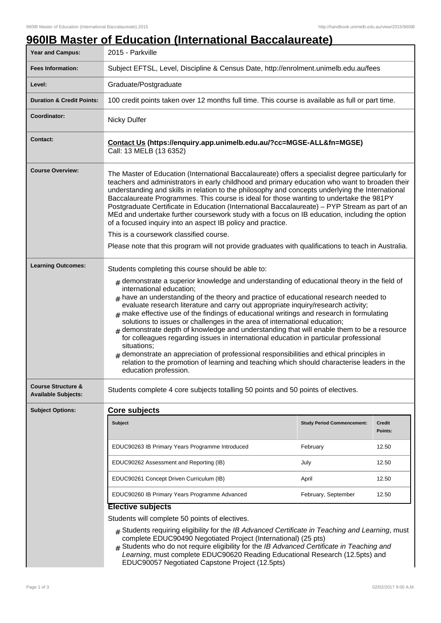## **960IB Master of Education (International Baccalaureate) Year and Campus:** 2015 - Parkville **Fees Information:** [Subject EFTSL, Level, Discipline & Census Date, http://enrolment.unimelb.edu.au/fees](http://enrolment.unimelb.edu.au/fees) Level: **Graduate/Postgraduate Duration & Credit Points:** 100 credit points taken over 12 months full time. This course is available as full or part time. **Coordinator:** Nicky Dulfer **Contact: Contact Us (https://enquiry.app.unimelb.edu.au/?cc=MGSE-ALL&fn=MGSE)** Call: 13 MELB (13 6352) **Course Overview:** The Master of Education (International Baccalaureate) offers a specialist degree particularly for teachers and administrators in early childhood and primary education who want to broaden their understanding and skills in relation to the philosophy and concepts underlying the International Baccalaureate Programmes. This course is ideal for those wanting to undertake the 981PY Postgraduate Certificate in Education (International Baccalaureate) – PYP Stream as part of an MEd and undertake further coursework study with a focus on IB education, including the option of a focused inquiry into an aspect IB policy and practice. This is a coursework classified course. Please note that this program will not provide graduates with qualifications to teach in Australia. Learning Outcomes: Students completing this course should be able to:  $_{\rm \#}$  demonstrate a superior knowledge and understanding of educational theory in the field of international education;  $#$  have an understanding of the theory and practice of educational research needed to evaluate research literature and carry out appropriate inquiry/research activity;  $#$  make effective use of the findings of educational writings and research in formulating solutions to issues or challenges in the area of international education; # demonstrate depth of knowledge and understanding that will enable them to be a resource for colleagues regarding issues in international education in particular professional situations; # demonstrate an appreciation of professional responsibilities and ethical principles in relation to the promotion of learning and teaching which should characterise leaders in the education profession. **Course Structure & Available Subjects:** Students complete 4 core subjects totalling 50 points and 50 points of electives. **Subject Options: Core subjects Subject Study Period Commencement: Credit Points:** EDUC90263 IB Primary Years Programme Introduced February February 12.50 EDUC90262 Assessment and Reporting (IB)  $\vert$  July  $\vert$  12.50 EDUC90261 Concept Driven Curriculum (IB) April 12.50 EDUC90260 IB Primary Years Programme Advanced February, September 12.50 **Elective subjects** Students will complete 50 points of electives.  $#$  Students requiring eligibility for the IB Advanced Certificate in Teaching and Learning, must complete EDUC90490 Negotiated Project (International) (25 pts)

 $#$  Students who do not require eligibility for the IB Advanced Certificate in Teaching and Learning, must complete EDUC90620 Reading Educational Research (12.5pts) and EDUC90057 Negotiated Capstone Project (12.5pts)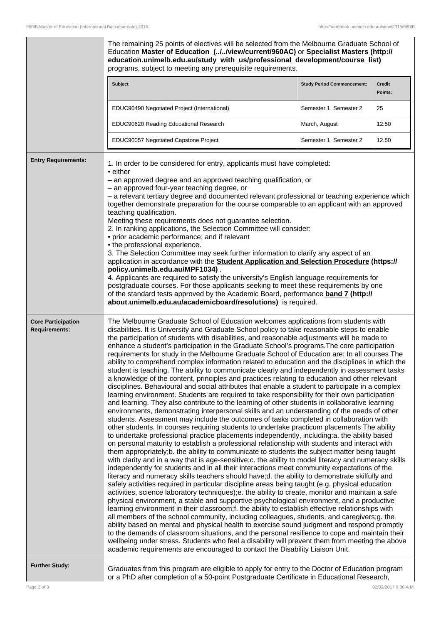|                                                   | The remaining 25 points of electives will be selected from the Melbourne Graduate School of<br>Education Master of Education (.J.J./view/current/960AC) or Specialist Masters (http://<br>education.unimelb.edu.au/study_with_us/professional_development/course_list)<br>programs, subject to meeting any prerequisite requirements.                                                                                                                                                                                                                                                                                                                                                                                                                                                                                                                                                                                                                                                                                                                                                                                                                                                                                                                                                                                                                                                                                                                                                                                                                                                                                                                                                                                                                                                                                                                                                                                                                                                                                                                                                                                                                                                                                                                                                                                                                                                                                                                                                                                                                                                                                                                                                                                                                                                                      |                                   |                   |
|---------------------------------------------------|------------------------------------------------------------------------------------------------------------------------------------------------------------------------------------------------------------------------------------------------------------------------------------------------------------------------------------------------------------------------------------------------------------------------------------------------------------------------------------------------------------------------------------------------------------------------------------------------------------------------------------------------------------------------------------------------------------------------------------------------------------------------------------------------------------------------------------------------------------------------------------------------------------------------------------------------------------------------------------------------------------------------------------------------------------------------------------------------------------------------------------------------------------------------------------------------------------------------------------------------------------------------------------------------------------------------------------------------------------------------------------------------------------------------------------------------------------------------------------------------------------------------------------------------------------------------------------------------------------------------------------------------------------------------------------------------------------------------------------------------------------------------------------------------------------------------------------------------------------------------------------------------------------------------------------------------------------------------------------------------------------------------------------------------------------------------------------------------------------------------------------------------------------------------------------------------------------------------------------------------------------------------------------------------------------------------------------------------------------------------------------------------------------------------------------------------------------------------------------------------------------------------------------------------------------------------------------------------------------------------------------------------------------------------------------------------------------------------------------------------------------------------------------------------------------|-----------------------------------|-------------------|
|                                                   | Subject                                                                                                                                                                                                                                                                                                                                                                                                                                                                                                                                                                                                                                                                                                                                                                                                                                                                                                                                                                                                                                                                                                                                                                                                                                                                                                                                                                                                                                                                                                                                                                                                                                                                                                                                                                                                                                                                                                                                                                                                                                                                                                                                                                                                                                                                                                                                                                                                                                                                                                                                                                                                                                                                                                                                                                                                    | <b>Study Period Commencement:</b> | Credit<br>Points: |
|                                                   | EDUC90490 Negotiated Project (International)                                                                                                                                                                                                                                                                                                                                                                                                                                                                                                                                                                                                                                                                                                                                                                                                                                                                                                                                                                                                                                                                                                                                                                                                                                                                                                                                                                                                                                                                                                                                                                                                                                                                                                                                                                                                                                                                                                                                                                                                                                                                                                                                                                                                                                                                                                                                                                                                                                                                                                                                                                                                                                                                                                                                                               | Semester 1, Semester 2            | 25                |
|                                                   | EDUC90620 Reading Educational Research                                                                                                                                                                                                                                                                                                                                                                                                                                                                                                                                                                                                                                                                                                                                                                                                                                                                                                                                                                                                                                                                                                                                                                                                                                                                                                                                                                                                                                                                                                                                                                                                                                                                                                                                                                                                                                                                                                                                                                                                                                                                                                                                                                                                                                                                                                                                                                                                                                                                                                                                                                                                                                                                                                                                                                     | March, August                     | 12.50             |
|                                                   | EDUC90057 Negotiated Capstone Project                                                                                                                                                                                                                                                                                                                                                                                                                                                                                                                                                                                                                                                                                                                                                                                                                                                                                                                                                                                                                                                                                                                                                                                                                                                                                                                                                                                                                                                                                                                                                                                                                                                                                                                                                                                                                                                                                                                                                                                                                                                                                                                                                                                                                                                                                                                                                                                                                                                                                                                                                                                                                                                                                                                                                                      | Semester 1, Semester 2            | 12.50             |
| <b>Entry Requirements:</b>                        | 1. In order to be considered for entry, applicants must have completed:<br>• either<br>- an approved degree and an approved teaching qualification, or<br>- an approved four-year teaching degree, or<br>- a relevant tertiary degree and documented relevant professional or teaching experience which<br>together demonstrate preparation for the course comparable to an applicant with an approved<br>teaching qualification.<br>Meeting these requirements does not guarantee selection.<br>2. In ranking applications, the Selection Committee will consider:<br>• prior academic performance; and if relevant<br>• the professional experience.<br>3. The Selection Committee may seek further information to clarify any aspect of an<br>application in accordance with the Student Application and Selection Procedure (https://<br>policy.unimelb.edu.au/MPF1034).<br>4. Applicants are required to satisfy the university's English language requirements for<br>postgraduate courses. For those applicants seeking to meet these requirements by one<br>of the standard tests approved by the Academic Board, performance band 7 (http://<br>about.unimelb.edu.au/academicboard/resolutions) is required.                                                                                                                                                                                                                                                                                                                                                                                                                                                                                                                                                                                                                                                                                                                                                                                                                                                                                                                                                                                                                                                                                                                                                                                                                                                                                                                                                                                                                                                                                                                                                                                      |                                   |                   |
| <b>Core Participation</b><br><b>Requirements:</b> | The Melbourne Graduate School of Education welcomes applications from students with<br>disabilities. It is University and Graduate School policy to take reasonable steps to enable<br>the participation of students with disabilities, and reasonable adjustments will be made to<br>enhance a student's participation in the Graduate School's programs. The core participation<br>requirements for study in the Melbourne Graduate School of Education are: In all courses The<br>ability to comprehend complex information related to education and the disciplines in which the<br>student is teaching. The ability to communicate clearly and independently in assessment tasks<br>a knowledge of the content, principles and practices relating to education and other relevant<br>disciplines. Behavioural and social attributes that enable a student to participate in a complex<br>learning environment. Students are required to take responsibility for their own participation<br>and learning. They also contribute to the learning of other students in collaborative learning<br>environments, demonstrating interpersonal skills and an understanding of the needs of other<br>students. Assessment may include the outcomes of tasks completed in collaboration with<br>other students. In courses requiring students to undertake practicum placements The ability<br>to undertake professional practice placements independently, including:a. the ability based<br>on personal maturity to establish a professional relationship with students and interact with<br>them appropriately;b. the ability to communicate to students the subject matter being taught<br>with clarity and in a way that is age-sensitive; c. the ability to model literacy and numeracy skills<br>independently for students and in all their interactions meet community expectations of the<br>literacy and numeracy skills teachers should have;d. the ability to demonstrate skilfully and<br>safely activities required in particular discipline areas being taught (e.g. physical education<br>activities, science laboratory techniques);e. the ability to create, monitor and maintain a safe<br>physical environment, a stable and supportive psychological environment, and a productive<br>learning environment in their classroom; f. the ability to establish effective relationships with<br>all members of the school community, including colleagues, students, and caregivers;g. the<br>ability based on mental and physical health to exercise sound judgment and respond promptly<br>to the demands of classroom situations, and the personal resilience to cope and maintain their<br>wellbeing under stress. Students who feel a disability will prevent them from meeting the above |                                   |                   |
| <b>Further Study:</b>                             | Graduates from this program are eligible to apply for entry to the Doctor of Education program<br>or a PhD after completion of a 50-point Postgraduate Certificate in Educational Research,                                                                                                                                                                                                                                                                                                                                                                                                                                                                                                                                                                                                                                                                                                                                                                                                                                                                                                                                                                                                                                                                                                                                                                                                                                                                                                                                                                                                                                                                                                                                                                                                                                                                                                                                                                                                                                                                                                                                                                                                                                                                                                                                                                                                                                                                                                                                                                                                                                                                                                                                                                                                                |                                   |                   |